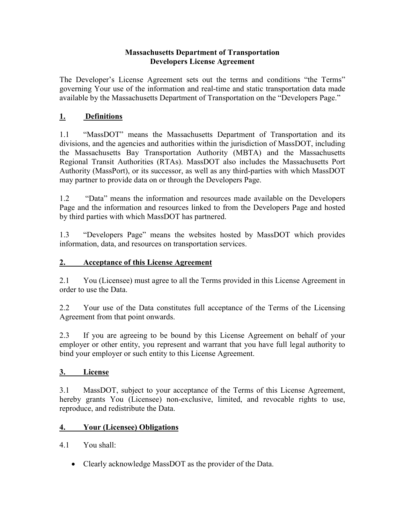#### **Massachusetts Department of Transportation Developers License Agreement**

The Developer's License Agreement sets out the terms and conditions "the Terms" governing Your use of the information and real-time and static transportation data made available by the Massachusetts Department of Transportation on the "Developers Page."

## **1. Definitions**

1.1 "MassDOT" means the Massachusetts Department of Transportation and its divisions, and the agencies and authorities within the jurisdiction of MassDOT, including the Massachusetts Bay Transportation Authority (MBTA) and the Massachusetts Regional Transit Authorities (RTAs). MassDOT also includes the Massachusetts Port Authority (MassPort), or its successor, as well as any third-parties with which MassDOT may partner to provide data on or through the Developers Page.

1.2 "Data" means the information and resources made available on the Developers Page and the information and resources linked to from the Developers Page and hosted by third parties with which MassDOT has partnered.

1.3 "Developers Page" means the websites hosted by MassDOT which provides information, data, and resources on transportation services.

### **2. Acceptance of this License Agreement**

2.1 You (Licensee) must agree to all the Terms provided in this License Agreement in order to use the Data.

2.2 Your use of the Data constitutes full acceptance of the Terms of the Licensing Agreement from that point onwards.

2.3 If you are agreeing to be bound by this License Agreement on behalf of your employer or other entity, you represent and warrant that you have full legal authority to bind your employer or such entity to this License Agreement.

#### **3. License**

3.1 MassDOT, subject to your acceptance of the Terms of this License Agreement, hereby grants You (Licensee) non-exclusive, limited, and revocable rights to use, reproduce, and redistribute the Data.

### **4. Your (Licensee) Obligations**

- 4.1 You shall:
	- Clearly acknowledge MassDOT as the provider of the Data.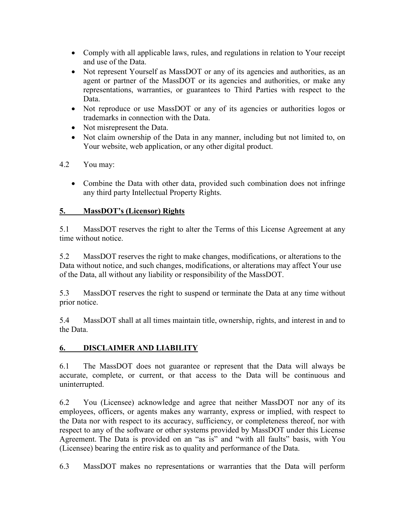- Comply with all applicable laws, rules, and regulations in relation to Your receipt and use of the Data.
- Not represent Yourself as MassDOT or any of its agencies and authorities, as an agent or partner of the MassDOT or its agencies and authorities, or make any representations, warranties, or guarantees to Third Parties with respect to the Data.
- Not reproduce or use MassDOT or any of its agencies or authorities logos or trademarks in connection with the Data.
- Not misrepresent the Data.
- Not claim ownership of the Data in any manner, including but not limited to, on Your website, web application, or any other digital product.

## 4.2 You may:

• Combine the Data with other data, provided such combination does not infringe any third party Intellectual Property Rights.

## **5. MassDOT's (Licensor) Rights**

5.1 MassDOT reserves the right to alter the Terms of this License Agreement at any time without notice.

5.2 MassDOT reserves the right to make changes, modifications, or alterations to the Data without notice, and such changes, modifications, or alterations may affect Your use of the Data, all without any liability or responsibility of the MassDOT.

5.3 MassDOT reserves the right to suspend or terminate the Data at any time without prior notice.

5.4 MassDOT shall at all times maintain title, ownership, rights, and interest in and to the Data.

# **6. DISCLAIMER AND LIABILITY**

6.1 The MassDOT does not guarantee or represent that the Data will always be accurate, complete, or current, or that access to the Data will be continuous and uninterrupted.

6.2 You (Licensee) acknowledge and agree that neither MassDOT nor any of its employees, officers, or agents makes any warranty, express or implied, with respect to the Data nor with respect to its accuracy, sufficiency, or completeness thereof, nor with respect to any of the software or other systems provided by MassDOT under this License Agreement. The Data is provided on an "as is" and "with all faults" basis, with You (Licensee) bearing the entire risk as to quality and performance of the Data.

6.3 MassDOT makes no representations or warranties that the Data will perform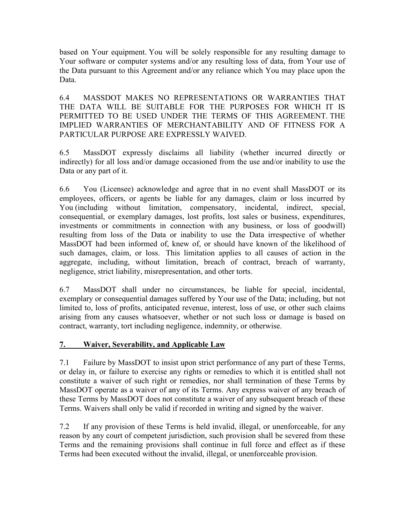based on Your equipment. You will be solely responsible for any resulting damage to Your software or computer systems and/or any resulting loss of data, from Your use of the Data pursuant to this Agreement and/or any reliance which You may place upon the Data.

6.4 MASSDOT MAKES NO REPRESENTATIONS OR WARRANTIES THAT THE DATA WILL BE SUITABLE FOR THE PURPOSES FOR WHICH IT IS PERMITTED TO BE USED UNDER THE TERMS OF THIS AGREEMENT. THE IMPLIED WARRANTIES OF MERCHANTABILITY AND OF FITNESS FOR A PARTICULAR PURPOSE ARE EXPRESSLY WAIVED.

6.5 MassDOT expressly disclaims all liability (whether incurred directly or indirectly) for all loss and/or damage occasioned from the use and/or inability to use the Data or any part of it.

6.6 You (Licensee) acknowledge and agree that in no event shall MassDOT or its employees, officers, or agents be liable for any damages, claim or loss incurred by You (including without limitation, compensatory, incidental, indirect, special, consequential, or exemplary damages, lost profits, lost sales or business, expenditures, investments or commitments in connection with any business, or loss of goodwill) resulting from loss of the Data or inability to use the Data irrespective of whether MassDOT had been informed of, knew of, or should have known of the likelihood of such damages, claim, or loss. This limitation applies to all causes of action in the aggregate, including, without limitation, breach of contract, breach of warranty, negligence, strict liability, misrepresentation, and other torts.

6.7 MassDOT shall under no circumstances, be liable for special, incidental, exemplary or consequential damages suffered by Your use of the Data; including, but not limited to, loss of profits, anticipated revenue, interest, loss of use, or other such claims arising from any causes whatsoever, whether or not such loss or damage is based on contract, warranty, tort including negligence, indemnity, or otherwise.

### **7. Waiver, Severability, and Applicable Law**

7.1 Failure by MassDOT to insist upon strict performance of any part of these Terms, or delay in, or failure to exercise any rights or remedies to which it is entitled shall not constitute a waiver of such right or remedies, nor shall termination of these Terms by MassDOT operate as a waiver of any of its Terms. Any express waiver of any breach of these Terms by MassDOT does not constitute a waiver of any subsequent breach of these Terms. Waivers shall only be valid if recorded in writing and signed by the waiver.

7.2 If any provision of these Terms is held invalid, illegal, or unenforceable, for any reason by any court of competent jurisdiction, such provision shall be severed from these Terms and the remaining provisions shall continue in full force and effect as if these Terms had been executed without the invalid, illegal, or unenforceable provision.